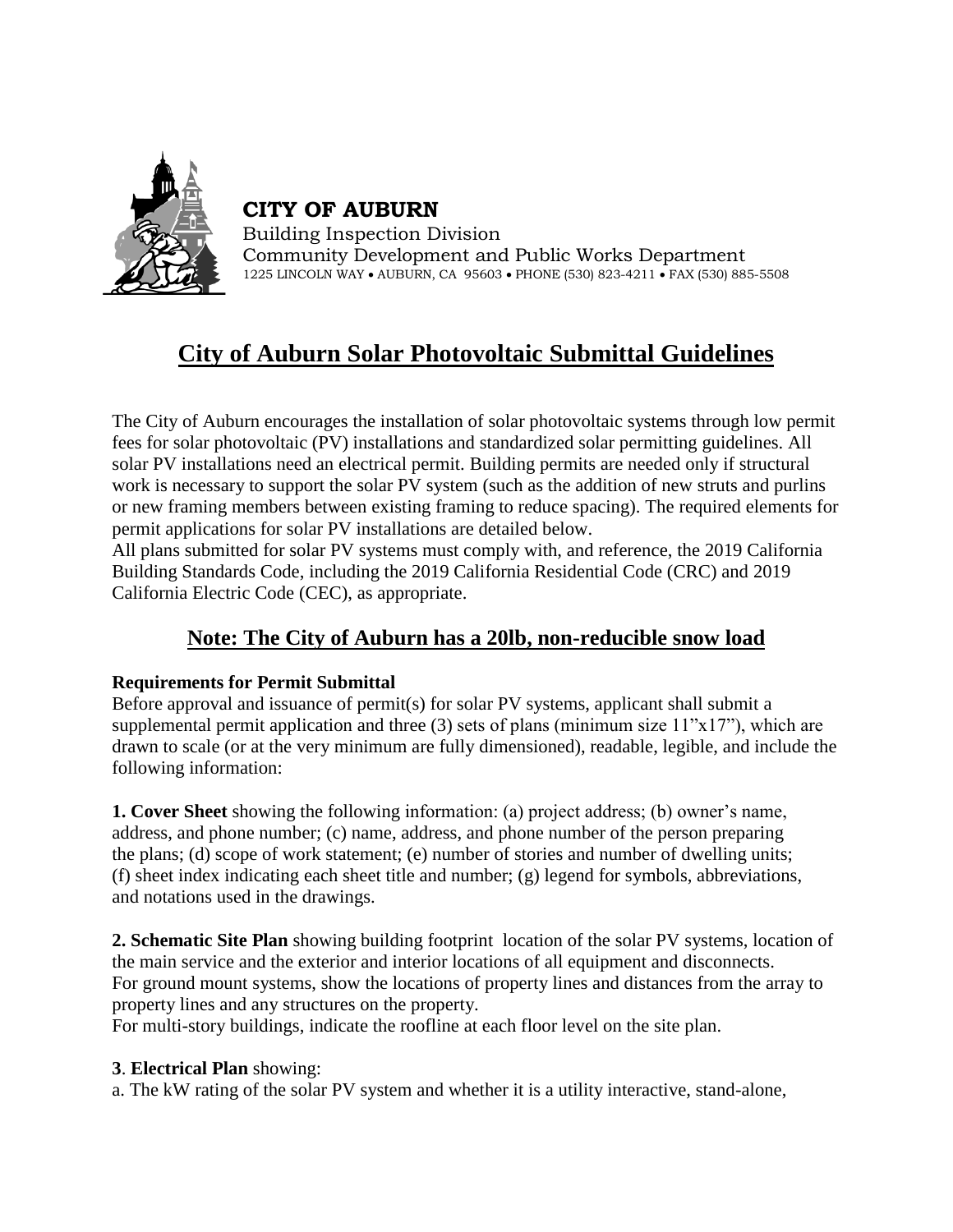

**CITY OF AUBURN**

Building Inspection Division Community Development and Public Works Department 1225 LINCOLN WAY • AUBURN, CA 95603 • PHONE (530) 823-4211 • FAX (530) 885-5508

# **City of Auburn Solar Photovoltaic Submittal Guidelines**

The City of Auburn encourages the installation of solar photovoltaic systems through low permit fees for solar photovoltaic (PV) installations and standardized solar permitting guidelines. All solar PV installations need an electrical permit. Building permits are needed only if structural work is necessary to support the solar PV system (such as the addition of new struts and purlins or new framing members between existing framing to reduce spacing). The required elements for permit applications for solar PV installations are detailed below.

All plans submitted for solar PV systems must comply with, and reference, the 2019 California Building Standards Code, including the 2019 California Residential Code (CRC) and 2019 California Electric Code (CEC), as appropriate.

# **Note: The City of Auburn has a 20lb, non-reducible snow load**

# **Requirements for Permit Submittal**

Before approval and issuance of permit(s) for solar PV systems, applicant shall submit a supplemental permit application and three (3) sets of plans (minimum size  $11"x17"$ ), which are drawn to scale (or at the very minimum are fully dimensioned), readable, legible, and include the following information:

**1. Cover Sheet** showing the following information: (a) project address; (b) owner's name, address, and phone number; (c) name, address, and phone number of the person preparing the plans; (d) scope of work statement; (e) number of stories and number of dwelling units; (f) sheet index indicating each sheet title and number; (g) legend for symbols, abbreviations, and notations used in the drawings.

**2. Schematic Site Plan** showing building footprint location of the solar PV systems, location of the main service and the exterior and interior locations of all equipment and disconnects. For ground mount systems, show the locations of property lines and distances from the array to property lines and any structures on the property.

For multi-story buildings, indicate the roofline at each floor level on the site plan.

## **3**. **Electrical Plan** showing:

a. The kW rating of the solar PV system and whether it is a utility interactive, stand-alone,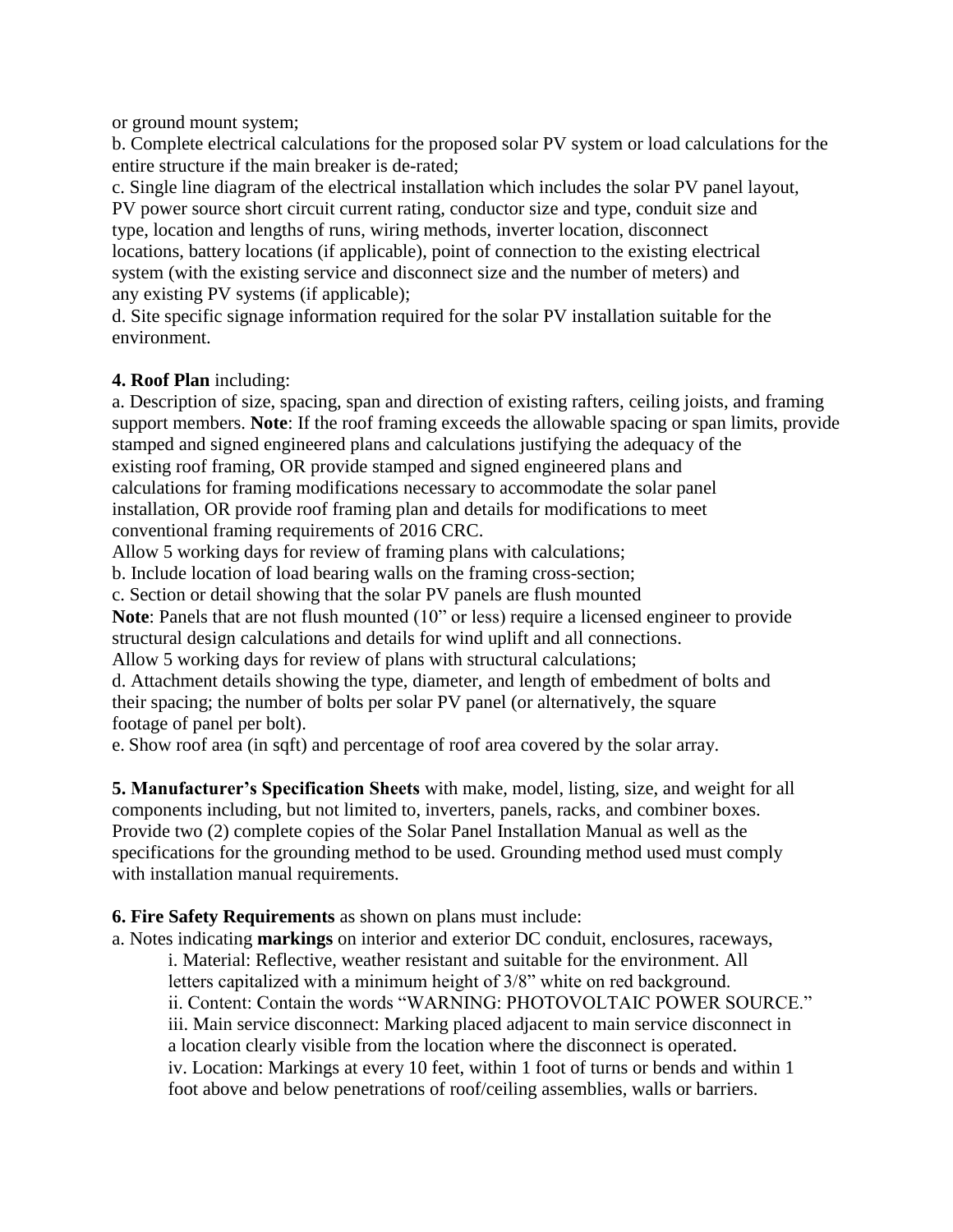or ground mount system;

b. Complete electrical calculations for the proposed solar PV system or load calculations for the entire structure if the main breaker is de-rated;

c. Single line diagram of the electrical installation which includes the solar PV panel layout, PV power source short circuit current rating, conductor size and type, conduit size and type, location and lengths of runs, wiring methods, inverter location, disconnect locations, battery locations (if applicable), point of connection to the existing electrical system (with the existing service and disconnect size and the number of meters) and any existing PV systems (if applicable);

d. Site specific signage information required for the solar PV installation suitable for the environment.

# **4. Roof Plan** including:

a. Description of size, spacing, span and direction of existing rafters, ceiling joists, and framing support members. **Note**: If the roof framing exceeds the allowable spacing or span limits, provide stamped and signed engineered plans and calculations justifying the adequacy of the existing roof framing, OR provide stamped and signed engineered plans and calculations for framing modifications necessary to accommodate the solar panel installation, OR provide roof framing plan and details for modifications to meet conventional framing requirements of 2016 CRC.

Allow 5 working days for review of framing plans with calculations;

b. Include location of load bearing walls on the framing cross-section;

c. Section or detail showing that the solar PV panels are flush mounted

**Note**: Panels that are not flush mounted (10" or less) require a licensed engineer to provide structural design calculations and details for wind uplift and all connections.

Allow 5 working days for review of plans with structural calculations;

d. Attachment details showing the type, diameter, and length of embedment of bolts and their spacing; the number of bolts per solar PV panel (or alternatively, the square footage of panel per bolt).

e. Show roof area (in sqft) and percentage of roof area covered by the solar array.

**5. Manufacturer's Specification Sheets** with make, model, listing, size, and weight for all components including, but not limited to, inverters, panels, racks, and combiner boxes. Provide two (2) complete copies of the Solar Panel Installation Manual as well as the specifications for the grounding method to be used. Grounding method used must comply with installation manual requirements.

## **6. Fire Safety Requirements** as shown on plans must include:

a. Notes indicating **markings** on interior and exterior DC conduit, enclosures, raceways, i. Material: Reflective, weather resistant and suitable for the environment. All letters capitalized with a minimum height of 3/8" white on red background. ii. Content: Contain the words "WARNING: PHOTOVOLTAIC POWER SOURCE." iii. Main service disconnect: Marking placed adjacent to main service disconnect in a location clearly visible from the location where the disconnect is operated. iv. Location: Markings at every 10 feet, within 1 foot of turns or bends and within 1 foot above and below penetrations of roof/ceiling assemblies, walls or barriers.